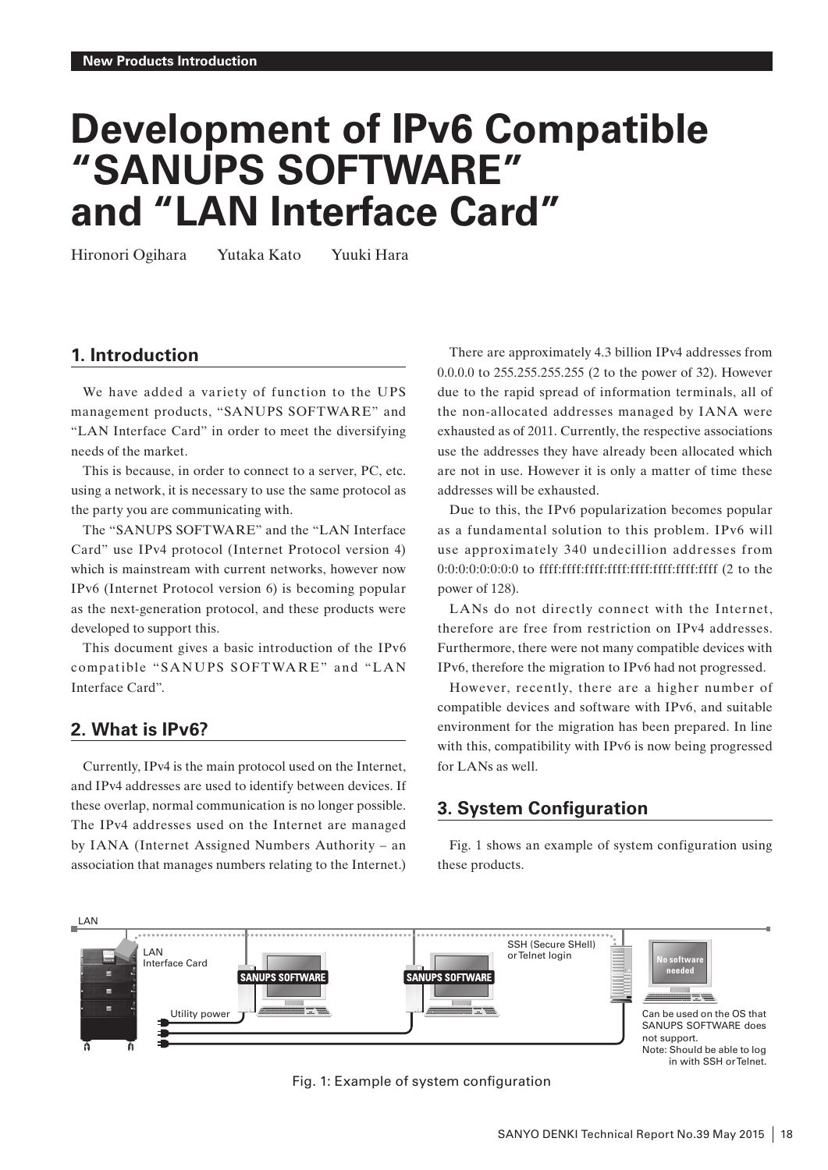# **Development of IPv6 Compatible "SANUPS SOFTWARE" and "LAN Interface Card"**

Hironori Ogihara Yutaka Kato Yuuki Hara

## **1. Introduction**

We have added a variety of function to the UPS management products, "SANUPS SOFTWARE" and "LAN Interface Card" in order to meet the diversifying needs of the market.

This is because, in order to connect to a server, PC, etc. using a network, it is necessary to use the same protocol as the party you are communicating with.

The "SANUPS SOFTWARE" and the "LAN Interface Card" use IPv4 protocol (Internet Protocol version 4) which is mainstream with current networks, however now IPv6 (Internet Protocol version 6) is becoming popular as the next-generation protocol, and these products were developed to support this.

This document gives a basic introduction of the IPv6 compatible "SANUPS SOFTWARE" and "LAN Interface Card".

## **2. What is IPv6?**

Currently, IPv4 is the main protocol used on the Internet, and IPv4 addresses are used to identify between devices. If these overlap, normal communication is no longer possible. The IPv4 addresses used on the Internet are managed by IANA (Internet Assigned Numbers Authority – an association that manages numbers relating to the Internet.)

There are approximately 4.3 billion IPv4 addresses from 0.0.0.0 to 255.255.255.255 (2 to the power of 32). However due to the rapid spread of information terminals, all of the non-allocated addresses managed by IANA were exhausted as of 2011. Currently, the respective associations use the addresses they have already been allocated which are not in use. However it is only a matter of time these addresses will be exhausted.

Due to this, the IPv6 popularization becomes popular as a fundamental solution to this problem. IPv6 will use approximately 340 undecillion addresses from 0:0:0:0:0:0:0:0 to ffff:ffff:ffff:ffff:ffff:ffff:ffff:ffff (2 to the power of 128).

LANs do not directly connect with the Internet, therefore are free from restriction on IPv4 addresses. Furthermore, there were not many compatible devices with IPv6, therefore the migration to IPv6 had not progressed.

However, recently, there are a higher number of compatible devices and software with IPv6, and suitable environment for the migration has been prepared. In line with this, compatibility with IPv6 is now being progressed for LANs as well.

# **3. System Configuration**

Fig. 1 shows an example of system configuration using these products.



#### Fig. 1: Example of system configuration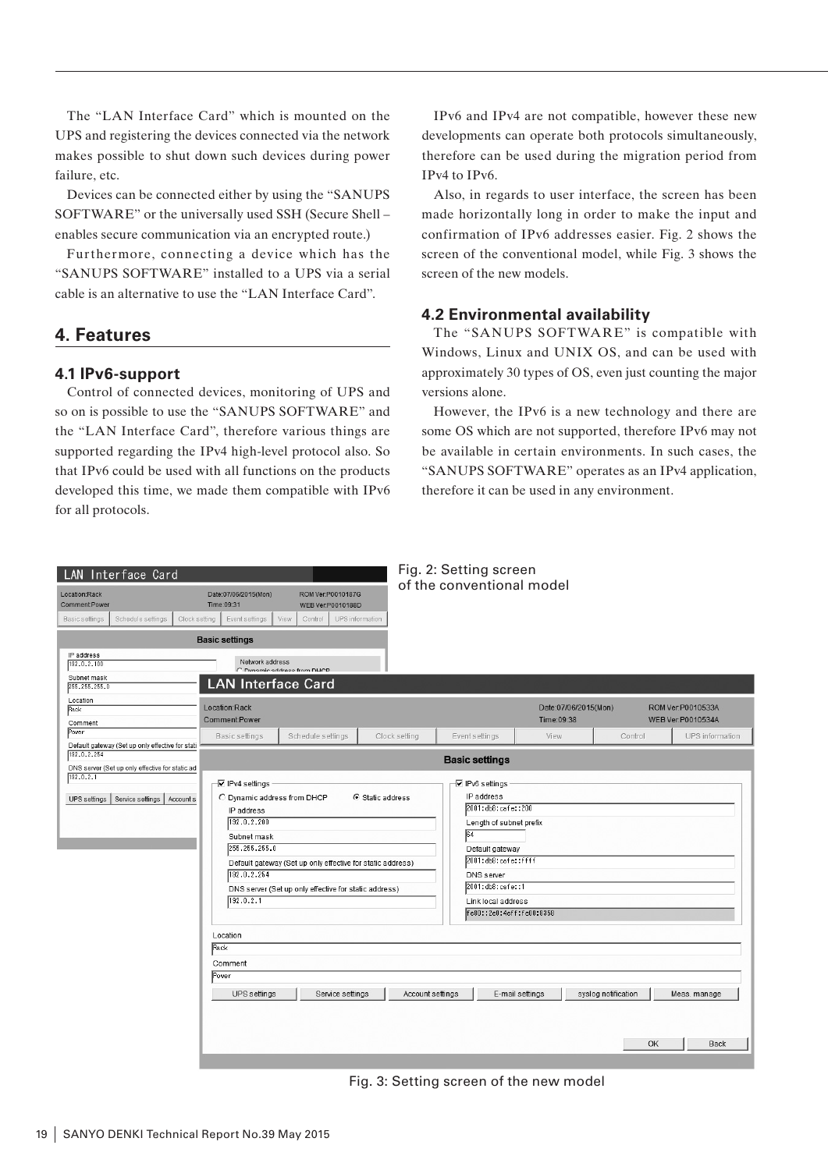The "LAN Interface Card" which is mounted on the UPS and registering the devices connected via the network makes possible to shut down such devices during power failure, etc.

Devices can be connected either by using the "SANUPS SOFTWARE" or the universally used SSH (Secure Shell – enables secure communication via an encrypted route.)

Furthermore, connecting a device which has the "SANUPS SOFTWARE" installed to a UPS via a serial cable is an alternative to use the "LAN Interface Card".

# **4. Features**

#### **4.1 IPv6-support**

Control of connected devices, monitoring of UPS and so on is possible to use the "SANUPS SOFTWARE" and the "LAN Interface Card", therefore various things are supported regarding the IPv4 high-level protocol also. So that IPv6 could be used with all functions on the products developed this time, we made them compatible with IPv6 for all protocols.

IPv6 and IPv4 are not compatible, however these new developments can operate both protocols simultaneously, therefore can be used during the migration period from IPv4 to IPv6.

Also, in regards to user interface, the screen has been made horizontally long in order to make the input and confirmation of IPv6 addresses easier. Fig. 2 shows the screen of the conventional model, while Fig. 3 shows the screen of the new models.

#### **4.2 Environmental availability**

The "SANUPS SOFTWARE" is compatible with Windows, Linux and UNIX OS, and can be used with approximately 30 types of OS, even just counting the major versions alone.

However, the IPv6 is a new technology and there are some OS which are not supported, therefore IPv6 may not be available in certain environments. In such cases, the "SANUPS SOFTWARE" operates as an IPv4 application, therefore it can be used in any environment.

| Fig. 2: Setting screen<br>LAN Interface Card                                                                        |                                                                                                                                                                                                                                                                                    |                                                                      |                                                                                                                                                                                                                                  |                           |                                    |                           |                                        |
|---------------------------------------------------------------------------------------------------------------------|------------------------------------------------------------------------------------------------------------------------------------------------------------------------------------------------------------------------------------------------------------------------------------|----------------------------------------------------------------------|----------------------------------------------------------------------------------------------------------------------------------------------------------------------------------------------------------------------------------|---------------------------|------------------------------------|---------------------------|----------------------------------------|
| Location:Rack<br><b>CommentPower</b><br>Schedule settings<br>Basic settings<br>Clock setting                        | Date:07/06/2015(Mon)<br>Time:09:31<br>Event settings<br>View                                                                                                                                                                                                                       | ROM Ver:P0010187G<br>WEB Ver:P0010188D<br>UPS information<br>Control |                                                                                                                                                                                                                                  | of the conventional model |                                    |                           |                                        |
|                                                                                                                     | <b>Basic settings</b>                                                                                                                                                                                                                                                              |                                                                      |                                                                                                                                                                                                                                  |                           |                                    |                           |                                        |
| IP address<br>192.0.2.100<br>Subnet mask                                                                            | Network address<br>C. Dynamic address from DHCP<br><b>LAN Interface Card</b>                                                                                                                                                                                                       |                                                                      |                                                                                                                                                                                                                                  |                           |                                    |                           |                                        |
| 255.255.255.0<br>Location<br>Rack<br>Comment                                                                        | Location:Rack<br>Comment:Power                                                                                                                                                                                                                                                     |                                                                      |                                                                                                                                                                                                                                  |                           | Date:07/06/2015(Mon)<br>Time:09:38 |                           | ROM Ver:P0010533A<br>WEB Ver:P0010534A |
| Power                                                                                                               | Basic settings                                                                                                                                                                                                                                                                     | Schedule settings                                                    | Clock setting                                                                                                                                                                                                                    | Event settings            | View                               | Control                   | UPS information                        |
| Default gateway (Set up only effective for stati<br>192.0.2.254<br>DNS server (Set up only effective for static ad- |                                                                                                                                                                                                                                                                                    | <b>Basic settings</b>                                                |                                                                                                                                                                                                                                  |                           |                                    |                           |                                        |
| 192.0.2.1<br>Service settings<br>Account s<br>UPS settings                                                          | √ IPv4 settings<br>⊙ Static address<br>C Dynamic address from DHCP<br>IP address<br>192.0.2.200<br>Subnet mask<br>255.255.255.0<br>Default gateway (Set up only effective for static address)<br>192.0.2.254<br>DNS server (Set up only effective for static address)<br>192.0.2.1 |                                                                      | <b>V</b> IPv6 settings<br>IP address<br>2001:db8:cafe::200<br>Length of subnet prefix<br>64<br>Default gateway<br>2001:db8:cafe::ffff<br><b>DNS</b> server<br>2001:db8:cafe::1<br>Link local address<br>fe80::2e0:4eff:fe00:8358 |                           |                                    |                           |                                        |
|                                                                                                                     | Location<br>Rack                                                                                                                                                                                                                                                                   |                                                                      |                                                                                                                                                                                                                                  |                           |                                    |                           |                                        |
|                                                                                                                     | Comment                                                                                                                                                                                                                                                                            |                                                                      |                                                                                                                                                                                                                                  |                           |                                    |                           |                                        |
|                                                                                                                     | Power<br>UPS settings                                                                                                                                                                                                                                                              | Service settings                                                     | Account settings                                                                                                                                                                                                                 |                           | E-mail settings                    | syslog notification<br>OK | Meas. manage<br><b>Back</b>            |

Fig. 3: Setting screen of the new model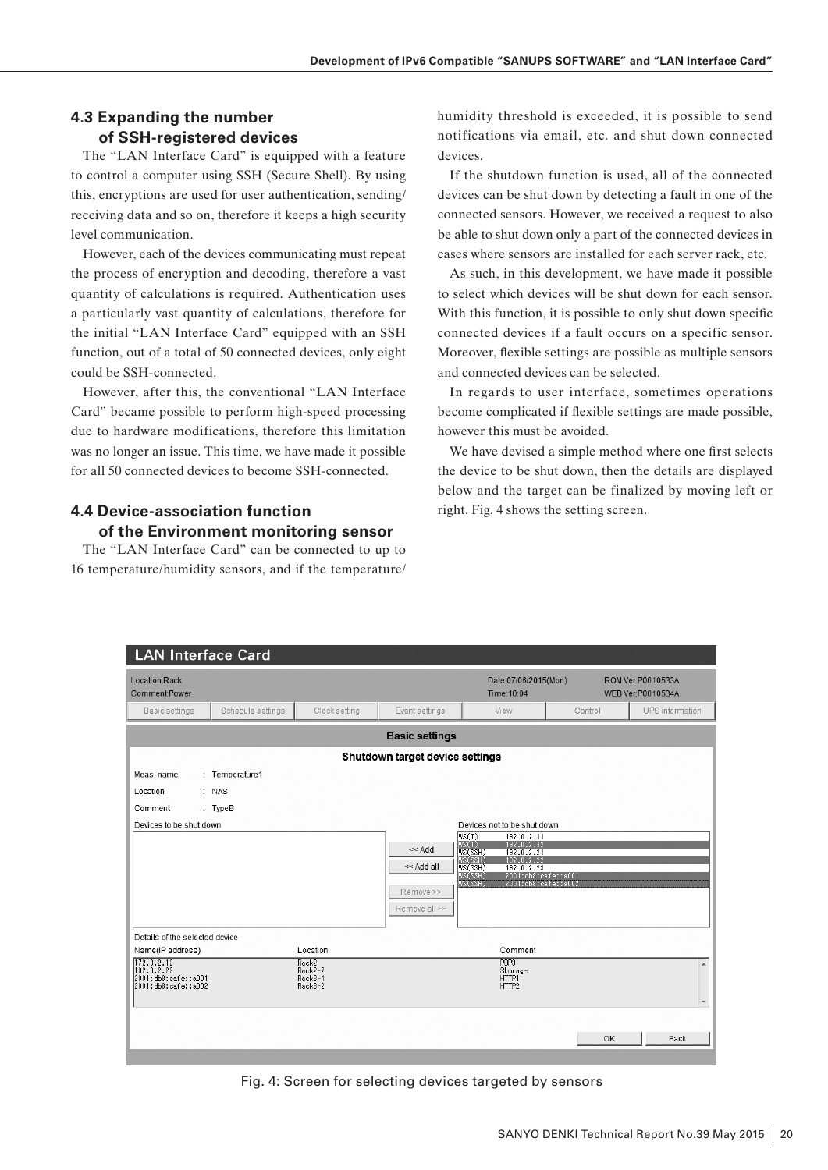#### **4.3 Expanding the number of SSH-registered devices**

The "LAN Interface Card" is equipped with a feature to control a computer using SSH (Secure Shell). By using this, encryptions are used for user authentication, sending/ receiving data and so on, therefore it keeps a high security level communication.

However, each of the devices communicating must repeat the process of encryption and decoding, therefore a vast quantity of calculations is required. Authentication uses a particularly vast quantity of calculations, therefore for the initial "LAN Interface Card" equipped with an SSH function, out of a total of 50 connected devices, only eight could be SSH-connected.

However, after this, the conventional "LAN Interface Card" became possible to perform high-speed processing due to hardware modifications, therefore this limitation was no longer an issue. This time, we have made it possible for all 50 connected devices to become SSH-connected.

#### **4.4 Device-association function of the Environment monitoring sensor**

The "LAN Interface Card" can be connected to up to 16 temperature/humidity sensors, and if the temperature/ humidity threshold is exceeded, it is possible to send notifications via email, etc. and shut down connected devices.

If the shutdown function is used, all of the connected devices can be shut down by detecting a fault in one of the connected sensors. However, we received a request to also be able to shut down only a part of the connected devices in cases where sensors are installed for each server rack, etc.

As such, in this development, we have made it possible to select which devices will be shut down for each sensor. With this function, it is possible to only shut down specific connected devices if a fault occurs on a specific sensor. Moreover, flexible settings are possible as multiple sensors and connected devices can be selected.

In regards to user interface, sometimes operations become complicated if flexible settings are made possible, however this must be avoided.

We have devised a simple method where one first selects the device to be shut down, then the details are displayed below and the target can be finalized by moving left or right. Fig. 4 shows the setting screen.

| <b>LAN Interface Card</b>                              |                   |                    |                                 |                                                                       |         |                                        |
|--------------------------------------------------------|-------------------|--------------------|---------------------------------|-----------------------------------------------------------------------|---------|----------------------------------------|
| Location:Rack<br>Comment:Power                         |                   |                    |                                 | Date:07/06/2015(Mon)<br>Time: 10:04                                   |         | ROM Ver:P0010533A<br>WEB Ver:P0010534A |
| Basic settings                                         | Schedule settings | Clock setting      | Event settings                  | View                                                                  | Control | UPS information                        |
|                                                        |                   |                    | <b>Basic settings</b>           |                                                                       |         |                                        |
|                                                        |                   |                    | Shutdown target device settings |                                                                       |         |                                        |
| Meas, name                                             | : Temperature1    |                    |                                 |                                                                       |         |                                        |
| Location                                               | : NAS             |                    |                                 |                                                                       |         |                                        |
| Comment                                                | : TypeB           |                    |                                 |                                                                       |         |                                        |
| Devices to be shut down<br>Devices not to be shut down |                   |                    |                                 |                                                                       |         |                                        |
|                                                        |                   |                    | $<<$ Add                        | WS(T)<br>192.0.2.11<br>WS(T)<br>WS(SSH)<br>$192.0.2.12$<br>192.0.2.21 |         |                                        |
|                                                        |                   |                    |                                 | 192.0.2.22                                                            |         |                                        |
|                                                        |                   |                    | << Add all                      | WS(SSH)<br>WS(SSH)<br>WS(SSH)<br>192.0.2.23<br>2001:db8:cafe::a001    |         |                                        |
|                                                        |                   |                    | Remove >>                       | WS(SSH)<br>2001:db8:cafe::a002                                        |         |                                        |
|                                                        |                   |                    | Remove all >>                   |                                                                       |         |                                        |
|                                                        |                   |                    |                                 |                                                                       |         |                                        |
| Details of the selected device                         |                   |                    |                                 |                                                                       |         |                                        |
| Name(IP address)                                       |                   | Location           |                                 | Comment                                                               |         |                                        |
| 172.0.2.12<br>192.0.2.22                               |                   | Rack2<br>Rack2-2   |                                 | P <sub>OP</sub> <sub>3</sub><br>Storage                               |         | A                                      |
| 2001:db8:cafe::a001<br>2001:db8:cafe::a002             |                   | Rack3-1<br>Rack3-2 |                                 | HTTP1<br>HTTP2                                                        |         |                                        |
|                                                        |                   |                    |                                 |                                                                       |         |                                        |
|                                                        |                   |                    |                                 |                                                                       |         |                                        |
|                                                        |                   |                    |                                 |                                                                       | OK      | <b>Back</b>                            |
|                                                        |                   |                    |                                 |                                                                       |         |                                        |

Fig. 4: Screen for selecting devices targeted by sensors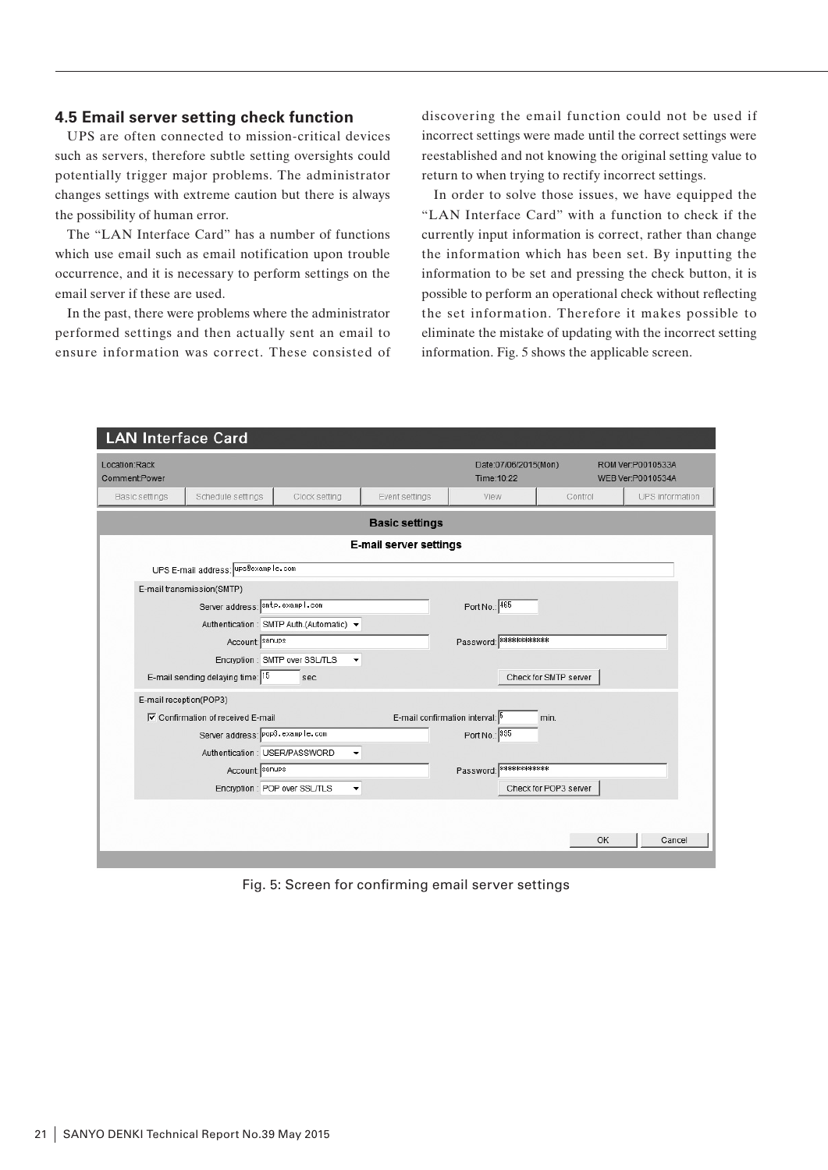#### **4.5 Email server setting check function**

UPS are often connected to mission-critical devices such as servers, therefore subtle setting oversights could potentially trigger major problems. The administrator changes settings with extreme caution but there is always the possibility of human error.

The "LAN Interface Card" has a number of functions which use email such as email notification upon trouble occurrence, and it is necessary to perform settings on the email server if these are used.

In the past, there were problems where the administrator performed settings and then actually sent an email to ensure information was correct. These consisted of

discovering the email function could not be used if incorrect settings were made until the correct settings were reestablished and not knowing the original setting value to return to when trying to rectify incorrect settings.

In order to solve those issues, we have equipped the "LAN Interface Card" with a function to check if the currently input information is correct, rather than change the information which has been set. By inputting the information to be set and pressing the check button, it is possible to perform an operational check without reflecting the set information. Therefore it makes possible to eliminate the mistake of updating with the incorrect setting information. Fig. 5 shows the applicable screen.

|                                                                        |                        | <b>LAN Interface Card</b>                                        |                                                                               |                                 |                         |                       |        |
|------------------------------------------------------------------------|------------------------|------------------------------------------------------------------|-------------------------------------------------------------------------------|---------------------------------|-------------------------|-----------------------|--------|
| Location:Rack<br>Comment:Power                                         |                        |                                                                  | Date:07/06/2015(Mon)<br>ROM Ver:P0010533A<br>Time: 10:22<br>WEB Ver:P0010534A |                                 |                         |                       |        |
| Basic settings<br>Schedule settings<br>Clock setting<br>Event settings |                        | View                                                             | Control                                                                       | UPS information                 |                         |                       |        |
|                                                                        |                        |                                                                  |                                                                               | <b>Basic settings</b>           |                         |                       |        |
|                                                                        |                        |                                                                  |                                                                               | E-mail server settings          |                         |                       |        |
|                                                                        |                        | UPS E-mail address: UPS Bexample.com                             |                                                                               |                                 |                         |                       |        |
|                                                                        |                        | E-mail transmission(SMTP)                                        |                                                                               |                                 |                         |                       |        |
|                                                                        |                        | Server address: smtp.exampl.com                                  |                                                                               |                                 | Port No.: 465           |                       |        |
|                                                                        |                        |                                                                  | Authentication: SMTP Auth.(Automatic) +                                       |                                 |                         |                       |        |
|                                                                        |                        | Account: sanups                                                  |                                                                               |                                 | Password: ************* |                       |        |
|                                                                        |                        |                                                                  | Encryption: SMTP over SSL/TLS<br>٠                                            |                                 |                         |                       |        |
|                                                                        |                        | E-mail sending delaying time: 15                                 | sec.                                                                          |                                 |                         | Check for SMTP server |        |
|                                                                        | E-mail reception(POP3) |                                                                  |                                                                               |                                 |                         |                       |        |
|                                                                        |                        | <b><math>\overline{V}</math></b> Confirmation of received E-mail |                                                                               | E-mail confirmation interval: 5 |                         | min.                  |        |
|                                                                        |                        | Server address: Pop3.example.com                                 |                                                                               |                                 | Port No.: 995           |                       |        |
|                                                                        |                        | Authentication: USER/PASSWORD                                    | ۰                                                                             |                                 |                         |                       |        |
|                                                                        |                        | Account: sanups                                                  |                                                                               |                                 | Password: ************* |                       |        |
|                                                                        |                        |                                                                  | Encryption: POP over SSL/TLS<br>۰                                             |                                 |                         | Check for POP3 server |        |
|                                                                        |                        |                                                                  |                                                                               |                                 |                         |                       |        |
|                                                                        |                        |                                                                  |                                                                               |                                 |                         |                       |        |
|                                                                        |                        |                                                                  |                                                                               |                                 |                         | OK                    | Cancel |
|                                                                        |                        |                                                                  |                                                                               |                                 |                         |                       |        |

Fig. 5: Screen for confirming email server settings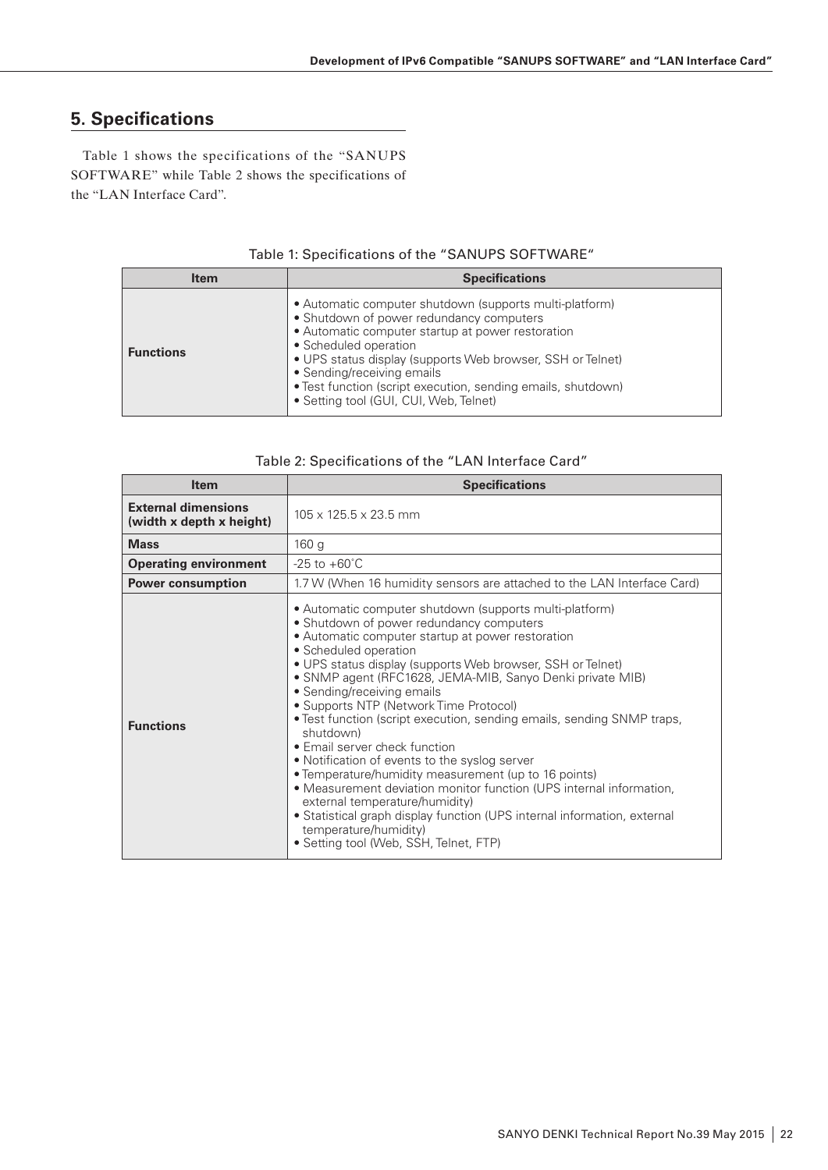# **5. Specifications**

Table 1 shows the specifications of the "SANUPS SOFTWARE" while Table 2 shows the specifications of the "LAN Interface Card".

| <b>Item</b>      | <b>Specifications</b>                                                                                                                                                                                                                                                                                                                                                                   |
|------------------|-----------------------------------------------------------------------------------------------------------------------------------------------------------------------------------------------------------------------------------------------------------------------------------------------------------------------------------------------------------------------------------------|
| <b>Functions</b> | • Automatic computer shutdown (supports multi-platform)<br>• Shutdown of power redundancy computers<br>• Automatic computer startup at power restoration<br>• Scheduled operation<br>• UPS status display (supports Web browser, SSH or Telnet)<br>• Sending/receiving emails<br>• Test function (script execution, sending emails, shutdown)<br>• Setting tool (GUI, CUI, Web, Telnet) |

#### Table 1: Specifications of the "SANUPS SOFTWARE"

|  |  | Table 2: Specifications of the "LAN Interface Card" |  |  |  |
|--|--|-----------------------------------------------------|--|--|--|
|--|--|-----------------------------------------------------|--|--|--|

| <b>Item</b>                                            | <b>Specifications</b>                                                                                                                                                                                                                                                                                                                                                                                                                                                                                                                                                                                                                                                                                                                                                                                                                                                         |  |  |  |
|--------------------------------------------------------|-------------------------------------------------------------------------------------------------------------------------------------------------------------------------------------------------------------------------------------------------------------------------------------------------------------------------------------------------------------------------------------------------------------------------------------------------------------------------------------------------------------------------------------------------------------------------------------------------------------------------------------------------------------------------------------------------------------------------------------------------------------------------------------------------------------------------------------------------------------------------------|--|--|--|
| <b>External dimensions</b><br>(width x depth x height) | 105 x 125.5 x 23.5 mm                                                                                                                                                                                                                                                                                                                                                                                                                                                                                                                                                                                                                                                                                                                                                                                                                                                         |  |  |  |
| <b>Mass</b>                                            | 160 <sub>g</sub>                                                                                                                                                                                                                                                                                                                                                                                                                                                                                                                                                                                                                                                                                                                                                                                                                                                              |  |  |  |
| <b>Operating environment</b>                           | $-25$ to $+60^{\circ}$ C                                                                                                                                                                                                                                                                                                                                                                                                                                                                                                                                                                                                                                                                                                                                                                                                                                                      |  |  |  |
| <b>Power consumption</b>                               | 1.7 W (When 16 humidity sensors are attached to the LAN Interface Card)                                                                                                                                                                                                                                                                                                                                                                                                                                                                                                                                                                                                                                                                                                                                                                                                       |  |  |  |
| <b>Functions</b>                                       | • Automatic computer shutdown (supports multi-platform)<br>• Shutdown of power redundancy computers<br>• Automatic computer startup at power restoration<br>• Scheduled operation<br>• UPS status display (supports Web browser, SSH or Telnet)<br>• SNMP agent (RFC1628, JEMA-MIB, Sanyo Denki private MIB)<br>• Sending/receiving emails<br>• Supports NTP (Network Time Protocol)<br>• Test function (script execution, sending emails, sending SNMP traps,<br>shutdown)<br>• Email server check function<br>• Notification of events to the syslog server<br>• Temperature/humidity measurement (up to 16 points)<br>• Measurement deviation monitor function (UPS internal information,<br>external temperature/humidity)<br>• Statistical graph display function (UPS internal information, external<br>temperature/humidity)<br>• Setting tool (Web, SSH, Telnet, FTP) |  |  |  |